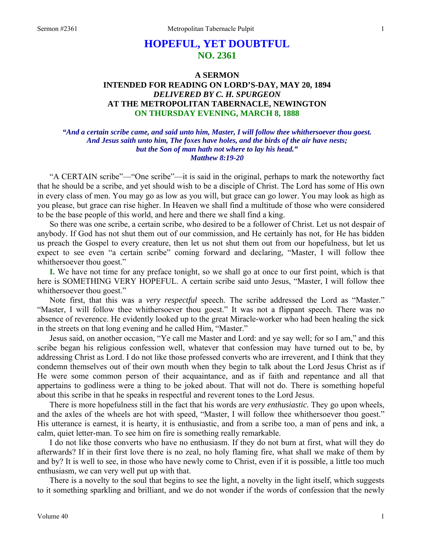# **HOPEFUL, YET DOUBTFUL NO. 2361**

# **A SERMON INTENDED FOR READING ON LORD'S-DAY, MAY 20, 1894**  *DELIVERED BY C. H. SPURGEON*  **AT THE METROPOLITAN TABERNACLE, NEWINGTON ON THURSDAY EVENING, MARCH 8, 1888**

# *"And a certain scribe came, and said unto him, Master, I will follow thee whithersoever thou goest. And Jesus saith unto him, The foxes have holes, and the birds of the air have nests; but the Son of man hath not where to lay his head." Matthew 8:19-20*

"A CERTAIN scribe"—"One scribe"—it is said in the original, perhaps to mark the noteworthy fact that he should be a scribe, and yet should wish to be a disciple of Christ. The Lord has some of His own in every class of men. You may go as low as you will, but grace can go lower. You may look as high as you please, but grace can rise higher. In Heaven we shall find a multitude of those who were considered to be the base people of this world, and here and there we shall find a king.

So there was one scribe, a certain scribe, who desired to be a follower of Christ. Let us not despair of anybody. If God has not shut them out of our commission, and He certainly has not, for He has bidden us preach the Gospel to every creature, then let us not shut them out from our hopefulness, but let us expect to see even "a certain scribe" coming forward and declaring, "Master, I will follow thee whithersoever thou goest."

**I.** We have not time for any preface tonight, so we shall go at once to our first point, which is that here is SOMETHING VERY HOPEFUL. A certain scribe said unto Jesus, "Master, I will follow thee whithersoever thou goest."

Note first, that this was a *very respectful* speech. The scribe addressed the Lord as "Master." "Master, I will follow thee whithersoever thou goest." It was not a flippant speech. There was no absence of reverence. He evidently looked up to the great Miracle-worker who had been healing the sick in the streets on that long evening and he called Him, "Master."

Jesus said, on another occasion, "Ye call me Master and Lord: and ye say well; for so I am," and this scribe began his religious confession well, whatever that confession may have turned out to be, by addressing Christ as Lord. I do not like those professed converts who are irreverent, and I think that they condemn themselves out of their own mouth when they begin to talk about the Lord Jesus Christ as if He were some common person of their acquaintance, and as if faith and repentance and all that appertains to godliness were a thing to be joked about. That will not do. There is something hopeful about this scribe in that he speaks in respectful and reverent tones to the Lord Jesus.

There is more hopefulness still in the fact that his words are *very enthusiastic.* They go upon wheels, and the axles of the wheels are hot with speed, "Master, I will follow thee whithersoever thou goest." His utterance is earnest, it is hearty, it is enthusiastic, and from a scribe too, a man of pens and ink, a calm, quiet letter-man. To see him on fire is something really remarkable.

I do not like those converts who have no enthusiasm. If they do not burn at first, what will they do afterwards? If in their first love there is no zeal, no holy flaming fire, what shall we make of them by and by? It is well to see, in those who have newly come to Christ, even if it is possible, a little too much enthusiasm, we can very well put up with that.

There is a novelty to the soul that begins to see the light, a novelty in the light itself, which suggests to it something sparkling and brilliant, and we do not wonder if the words of confession that the newly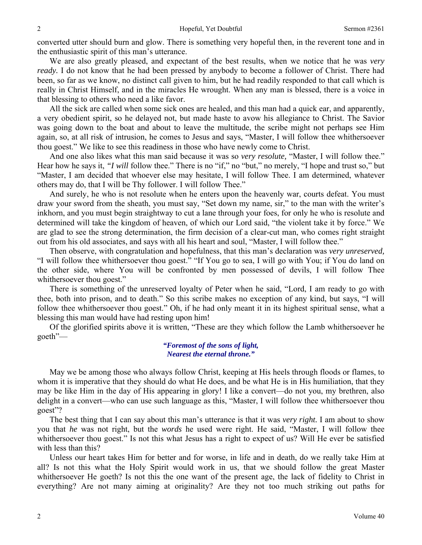converted utter should burn and glow. There is something very hopeful then, in the reverent tone and in the enthusiastic spirit of this man's utterance.

We are also greatly pleased, and expectant of the best results, when we notice that he was *very ready.* I do not know that he had been pressed by anybody to become a follower of Christ. There had been, so far as we know, no distinct call given to him, but he had readily responded to that call which is really in Christ Himself, and in the miracles He wrought. When any man is blessed, there is a voice in that blessing to others who need a like favor.

All the sick are called when some sick ones are healed, and this man had a quick ear, and apparently, a very obedient spirit, so he delayed not, but made haste to avow his allegiance to Christ. The Savior was going down to the boat and about to leave the multitude, the scribe might not perhaps see Him again, so, at all risk of intrusion, he comes to Jesus and says, "Master, I will follow thee whithersoever thou goest." We like to see this readiness in those who have newly come to Christ.

And one also likes what this man said because it was so *very resolute,* "Master, I will follow thee." Hear how he says it, *"I will* follow thee." There is no "if," no "but," no merely, "I hope and trust so," but "Master, I am decided that whoever else may hesitate, I will follow Thee. I am determined, whatever others may do, that I will be Thy follower. I will follow Thee."

And surely, he who is not resolute when he enters upon the heavenly war, courts defeat. You must draw your sword from the sheath, you must say, "Set down my name, sir," to the man with the writer's inkhorn, and you must begin straightway to cut a lane through your foes, for only he who is resolute and determined will take the kingdom of heaven, of which our Lord said, "the violent take it by force." We are glad to see the strong determination, the firm decision of a clear-cut man, who comes right straight out from his old associates, and says with all his heart and soul, "Master, I will follow thee."

Then observe, with congratulation and hopefulness, that this man's declaration was *very unreserved,*  "I will follow thee whithersoever thou goest." "If You go to sea, I will go with You; if You do land on the other side, where You will be confronted by men possessed of devils, I will follow Thee whithersoever thou goest."

There is something of the unreserved loyalty of Peter when he said, "Lord, I am ready to go with thee, both into prison, and to death." So this scribe makes no exception of any kind, but says, "I will follow thee whithersoever thou goest." Oh, if he had only meant it in its highest spiritual sense, what a blessing this man would have had resting upon him!

Of the glorified spirits above it is written, "These are they which follow the Lamb whithersoever he goeth"—

#### *"Foremost of the sons of light, Nearest the eternal throne."*

May we be among those who always follow Christ, keeping at His heels through floods or flames, to whom it is imperative that they should do what He does, and be what He is in His humiliation, that they may be like Him in the day of His appearing in glory! I like a convert—do not you, my brethren, also delight in a convert—who can use such language as this, "Master, I will follow thee whithersoever thou goest"?

The best thing that I can say about this man's utterance is that it was *very right.* I am about to show you that *he* was not right, but the *words* he used were right. He said, "Master, I will follow thee whithersoever thou goest." Is not this what Jesus has a right to expect of us? Will He ever be satisfied with less than this?

Unless our heart takes Him for better and for worse, in life and in death, do we really take Him at all? Is not this what the Holy Spirit would work in us, that we should follow the great Master whithersoever He goeth? Is not this the one want of the present age, the lack of fidelity to Christ in everything? Are not many aiming at originality? Are they not too much striking out paths for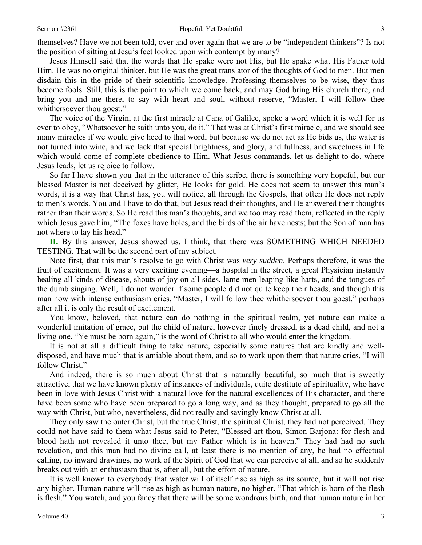themselves? Have we not been told, over and over again that we are to be "independent thinkers"? Is not the position of sitting at Jesu's feet looked upon with contempt by many?

Jesus Himself said that the words that He spake were not His, but He spake what His Father told Him. He was no original thinker, but He was the great translator of the thoughts of God to men. But men disdain this in the pride of their scientific knowledge. Professing themselves to be wise, they thus become fools. Still, this is the point to which we come back, and may God bring His church there, and bring you and me there, to say with heart and soul, without reserve, "Master, I will follow thee whithersoever thou goest."

The voice of the Virgin, at the first miracle at Cana of Galilee, spoke a word which it is well for us ever to obey, "Whatsoever he saith unto you, do it." That was at Christ's first miracle, and we should see many miracles if we would give heed to that word, but because we do not act as He bids us, the water is not turned into wine, and we lack that special brightness, and glory, and fullness, and sweetness in life which would come of complete obedience to Him. What Jesus commands, let us delight to do, where Jesus leads, let us rejoice to follow.

So far I have shown you that in the utterance of this scribe, there is something very hopeful, but our blessed Master is not deceived by glitter, He looks for gold. He does not seem to answer this man's words, it is a way that Christ has, you will notice, all through the Gospels, that often He does not reply to men's words. You and I have to do that, but Jesus read their thoughts, and He answered their thoughts rather than their words. So He read this man's thoughts, and we too may read them, reflected in the reply which Jesus gave him, "The foxes have holes, and the birds of the air have nests; but the Son of man has not where to lay his head."

**II.** By this answer, Jesus showed us, I think, that there was SOMETHING WHICH NEEDED TESTING. That will be the second part of my subject.

Note first, that this man's resolve to go with Christ was *very sudden*. Perhaps therefore, it was the fruit of excitement. It was a very exciting evening—a hospital in the street, a great Physician instantly healing all kinds of disease, shouts of joy on all sides, lame men leaping like harts, and the tongues of the dumb singing. Well, I do not wonder if some people did not quite keep their heads, and though this man now with intense enthusiasm cries, "Master, I will follow thee whithersoever thou goest," perhaps after all it is only the result of excitement.

You know, beloved, that nature can do nothing in the spiritual realm, yet nature can make a wonderful imitation of grace, but the child of nature, however finely dressed, is a dead child, and not a living one. "Ye must be born again," is the word of Christ to all who would enter the kingdom.

It is not at all a difficult thing to take nature, especially some natures that are kindly and welldisposed, and have much that is amiable about them, and so to work upon them that nature cries, "I will follow Christ."

And indeed, there is so much about Christ that is naturally beautiful, so much that is sweetly attractive, that we have known plenty of instances of individuals, quite destitute of spirituality, who have been in love with Jesus Christ with a natural love for the natural excellences of His character, and there have been some who have been prepared to go a long way, and as they thought, prepared to go all the way with Christ, but who, nevertheless, did not really and savingly know Christ at all.

They only saw the outer Christ, but the true Christ, the spiritual Christ, they had not perceived. They could not have said to them what Jesus said to Peter, "Blessed art thou, Simon Barjona: for flesh and blood hath not revealed it unto thee, but my Father which is in heaven." They had had no such revelation, and this man had no divine call, at least there is no mention of any, he had no effectual calling, no inward drawings, no work of the Spirit of God that we can perceive at all, and so he suddenly breaks out with an enthusiasm that is, after all, but the effort of nature.

It is well known to everybody that water will of itself rise as high as its source, but it will not rise any higher. Human nature will rise as high as human nature, no higher. "That which is born of the flesh is flesh." You watch, and you fancy that there will be some wondrous birth, and that human nature in her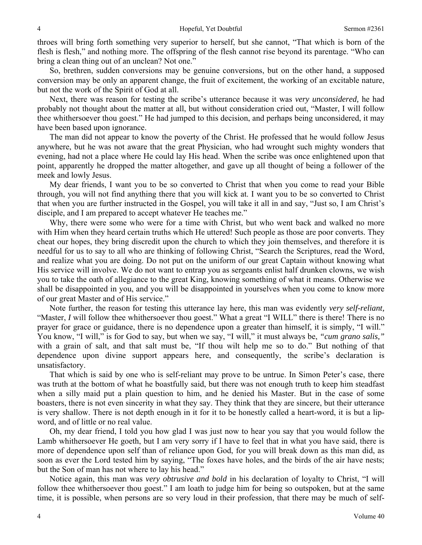throes will bring forth something very superior to herself, but she cannot, "That which is born of the flesh is flesh," and nothing more. The offspring of the flesh cannot rise beyond its parentage. "Who can bring a clean thing out of an unclean? Not one."

So, brethren, sudden conversions may be genuine conversions, but on the other hand, a supposed conversion may be only an apparent change, the fruit of excitement, the working of an excitable nature, but not the work of the Spirit of God at all.

Next, there was reason for testing the scribe's utterance because it was *very unconsidered,* he had probably not thought about the matter at all, but without consideration cried out, "Master, I will follow thee whithersoever thou goest." He had jumped to this decision, and perhaps being unconsidered, it may have been based upon ignorance.

The man did not appear to know the poverty of the Christ. He professed that he would follow Jesus anywhere, but he was not aware that the great Physician, who had wrought such mighty wonders that evening, had not a place where He could lay His head. When the scribe was once enlightened upon that point, apparently he dropped the matter altogether, and gave up all thought of being a follower of the meek and lowly Jesus.

My dear friends, I want you to be so converted to Christ that when you come to read your Bible through, you will not find anything there that you will kick at. I want you to be so converted to Christ that when you are further instructed in the Gospel, you will take it all in and say, "Just so, I am Christ's disciple, and I am prepared to accept whatever He teaches me."

Why, there were some who were for a time with Christ, but who went back and walked no more with Him when they heard certain truths which He uttered! Such people as those are poor converts. They cheat our hopes, they bring discredit upon the church to which they join themselves, and therefore it is needful for us to say to all who are thinking of following Christ, "Search the Scriptures, read the Word, and realize what you are doing. Do not put on the uniform of our great Captain without knowing what His service will involve. We do not want to entrap you as sergeants enlist half drunken clowns, we wish you to take the oath of allegiance to the great King, knowing something of what it means. Otherwise we shall be disappointed in you, and you will be disappointed in yourselves when you come to know more of our great Master and of His service."

Note further, the reason for testing this utterance lay here, this man was evidently *very self-reliant,*  "Master, *I* will follow thee whithersoever thou goest." What a great "I WILL" there is there! There is no prayer for grace or guidance, there is no dependence upon a greater than himself, it is simply, "I will." You know, "I will," is for God to say, but when we say, "I will," it must always be, *"cum grano salis,"* with a grain of salt, and that salt must be, "If thou wilt help me so to do." But nothing of that dependence upon divine support appears here, and consequently, the scribe's declaration is unsatisfactory.

That which is said by one who is self-reliant may prove to be untrue. In Simon Peter's case, there was truth at the bottom of what he boastfully said, but there was not enough truth to keep him steadfast when a silly maid put a plain question to him, and he denied his Master. But in the case of some boasters, there is not even sincerity in what they say. They think that they are sincere, but their utterance is very shallow. There is not depth enough in it for it to be honestly called a heart-word, it is but a lipword, and of little or no real value.

Oh, my dear friend, I told you how glad I was just now to hear you say that you would follow the Lamb whithersoever He goeth, but I am very sorry if I have to feel that in what you have said, there is more of dependence upon self than of reliance upon God, for you will break down as this man did, as soon as ever the Lord tested him by saying, "The foxes have holes, and the birds of the air have nests; but the Son of man has not where to lay his head."

Notice again, this man was *very obtrusive and bold* in his declaration of loyalty to Christ, "I will follow thee whithersoever thou goest." I am loath to judge him for being so outspoken, but at the same time, it is possible, when persons are so very loud in their profession, that there may be much of self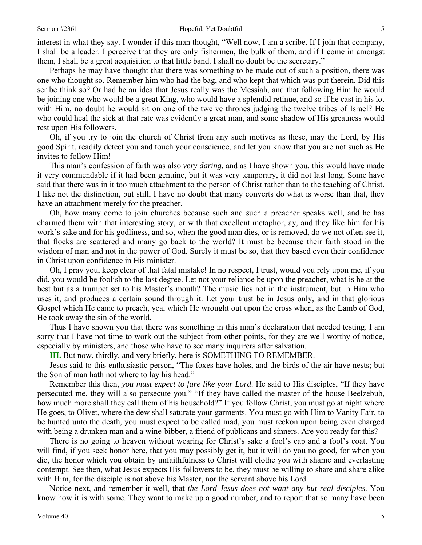interest in what they say. I wonder if this man thought, "Well now, I am a scribe. If I join that company, I shall be a leader. I perceive that they are only fishermen, the bulk of them, and if I come in amongst them, I shall be a great acquisition to that little band. I shall no doubt be the secretary."

Perhaps he may have thought that there was something to be made out of such a position, there was one who thought so. Remember him who had the bag, and who kept that which was put therein. Did this scribe think so? Or had he an idea that Jesus really was the Messiah, and that following Him he would be joining one who would be a great King, who would have a splendid retinue, and so if he cast in his lot with Him, no doubt he would sit on one of the twelve thrones judging the twelve tribes of Israel? He who could heal the sick at that rate was evidently a great man, and some shadow of His greatness would rest upon His followers.

Oh, if you try to join the church of Christ from any such motives as these, may the Lord, by His good Spirit, readily detect you and touch your conscience, and let you know that you are not such as He invites to follow Him!

This man's confession of faith was also *very daring,* and as I have shown you, this would have made it very commendable if it had been genuine, but it was very temporary, it did not last long. Some have said that there was in it too much attachment to the person of Christ rather than to the teaching of Christ. I like not the distinction, but still, I have no doubt that many converts do what is worse than that, they have an attachment merely for the preacher.

Oh, how many come to join churches because such and such a preacher speaks well, and he has charmed them with that interesting story, or with that excellent metaphor, ay, and they like him for his work's sake and for his godliness, and so, when the good man dies, or is removed, do we not often see it, that flocks are scattered and many go back to the world? It must be because their faith stood in the wisdom of man and not in the power of God. Surely it must be so, that they based even their confidence in Christ upon confidence in His minister.

Oh, I pray you, keep clear of that fatal mistake! In no respect, I trust, would you rely upon me, if you did, you would be foolish to the last degree. Let not your reliance be upon the preacher, what is he at the best but as a trumpet set to his Master's mouth? The music lies not in the instrument, but in Him who uses it, and produces a certain sound through it. Let your trust be in Jesus only, and in that glorious Gospel which He came to preach, yea, which He wrought out upon the cross when, as the Lamb of God, He took away the sin of the world.

Thus I have shown you that there was something in this man's declaration that needed testing. I am sorry that I have not time to work out the subject from other points, for they are well worthy of notice, especially by ministers, and those who have to see many inquirers after salvation.

**III.** But now, thirdly, and very briefly, here is SOMETHING TO REMEMBER.

Jesus said to this enthusiastic person, "The foxes have holes, and the birds of the air have nests; but the Son of man hath not where to lay his head."

Remember this then, *you must expect to fare like your Lord*. He said to His disciples, "If they have persecuted me, they will also persecute you." "If they have called the master of the house Beelzebub, how much more shall they call them of his household?" If you follow Christ, you must go at night where He goes, to Olivet, where the dew shall saturate your garments. You must go with Him to Vanity Fair, to be hunted unto the death, you must expect to be called mad, you must reckon upon being even charged with being a drunken man and a wine-bibber, a friend of publicans and sinners. Are you ready for this?

There is no going to heaven without wearing for Christ's sake a fool's cap and a fool's coat. You will find, if you seek honor here, that you may possibly get it, but it will do you no good, for when you die, the honor which you obtain by unfaithfulness to Christ will clothe you with shame and everlasting contempt. See then, what Jesus expects His followers to be, they must be willing to share and share alike with Him, for the disciple is not above his Master, nor the servant above his Lord.

Notice next, and remember it well, that *the Lord Jesus does not want any but real disciples.* You know how it is with some. They want to make up a good number, and to report that so many have been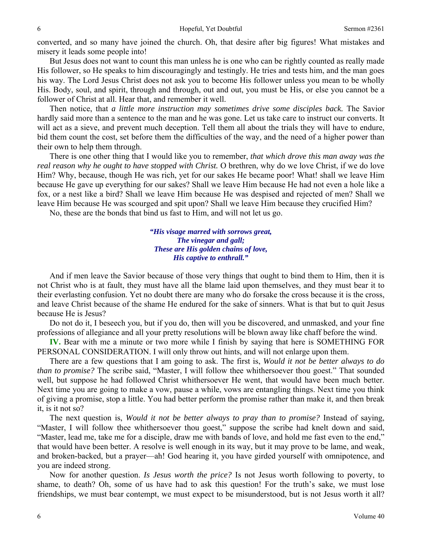converted, and so many have joined the church. Oh, that desire after big figures! What mistakes and misery it leads some people into!

But Jesus does not want to count this man unless he is one who can be rightly counted as really made His follower, so He speaks to him discouragingly and testingly. He tries and tests him, and the man goes his way. The Lord Jesus Christ does not ask you to become His follower unless you mean to be wholly His. Body, soul, and spirit, through and through, out and out, you must be His, or else you cannot be a follower of Christ at all. Hear that, and remember it well.

Then notice, that *a little more instruction may sometimes drive some disciples back.* The Savior hardly said more than a sentence to the man and he was gone. Let us take care to instruct our converts. It will act as a sieve, and prevent much deception. Tell them all about the trials they will have to endure, bid them count the cost, set before them the difficulties of the way, and the need of a higher power than their own to help them through.

There is one other thing that I would like you to remember, *that which drove this man away was the real reason why he ought to have stopped with Christ.* O brethren, why do we love Christ, if we do love Him? Why, because, though He was rich, yet for our sakes He became poor! What! shall we leave Him because He gave up everything for our sakes? Shall we leave Him because He had not even a hole like a fox, or a nest like a bird? Shall we leave Him because He was despised and rejected of men? Shall we leave Him because He was scourged and spit upon? Shall we leave Him because they crucified Him?

No, these are the bonds that bind us fast to Him, and will not let us go.

*"His visage marred with sorrows great, The vinegar and gall; These are His golden chains of love, His captive to enthrall."* 

And if men leave the Savior because of those very things that ought to bind them to Him, then it is not Christ who is at fault, they must have all the blame laid upon themselves, and they must bear it to their everlasting confusion. Yet no doubt there are many who do forsake the cross because it is the cross, and leave Christ because of the shame He endured for the sake of sinners. What is that but to quit Jesus because He is Jesus?

Do not do it, I beseech you, but if you do, then will you be discovered, and unmasked, and your fine professions of allegiance and all your pretty resolutions will be blown away like chaff before the wind.

**IV.** Bear with me a minute or two more while I finish by saying that here is SOMETHING FOR PERSONAL CONSIDERATION. I will only throw out hints, and will not enlarge upon them.

There are a few questions that I am going to ask. The first is, *Would it not be better always to do than to promise?* The scribe said, "Master, I will follow thee whithersoever thou goest." That sounded well, but suppose he had followed Christ whithersoever He went, that would have been much better. Next time you are going to make a vow, pause a while, vows are entangling things. Next time you think of giving a promise, stop a little. You had better perform the promise rather than make it, and then break it, is it not so?

The next question is, *Would it not be better always to pray than to promise?* Instead of saying, "Master, I will follow thee whithersoever thou goest," suppose the scribe had knelt down and said, "Master, lead me, take me for a disciple, draw me with bands of love, and hold me fast even to the end," that would have been better. A resolve is well enough in its way, but it may prove to be lame, and weak, and broken-backed, but a prayer—ah! God hearing it, you have girded yourself with omnipotence, and you are indeed strong.

Now for another question. *Is Jesus worth the price?* Is not Jesus worth following to poverty, to shame, to death? Oh, some of us have had to ask this question! For the truth's sake, we must lose friendships, we must bear contempt, we must expect to be misunderstood, but is not Jesus worth it all?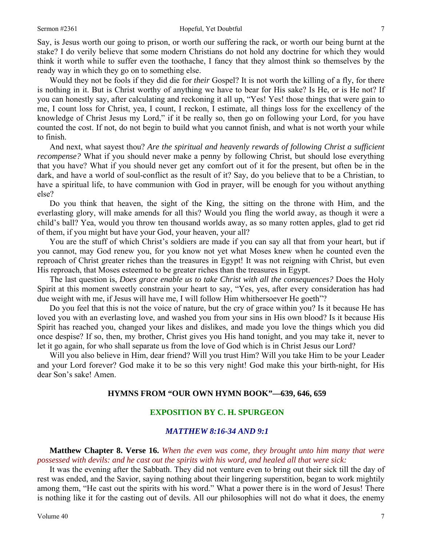Say, is Jesus worth our going to prison, or worth our suffering the rack, or worth our being burnt at the stake? I do verily believe that some modern Christians do not hold any doctrine for which they would think it worth while to suffer even the toothache, I fancy that they almost think so themselves by the ready way in which they go on to something else.

Would they not be fools if they did die for *their* Gospel? It is not worth the killing of a fly, for there is nothing in it. But is Christ worthy of anything we have to bear for His sake? Is He, or is He not? If you can honestly say, after calculating and reckoning it all up, "Yes! Yes! those things that were gain to me, I count loss for Christ, yea, I count, I reckon, I estimate, all things loss for the excellency of the knowledge of Christ Jesus my Lord," if it be really so, then go on following your Lord, for you have counted the cost. If not, do not begin to build what you cannot finish, and what is not worth your while to finish.

And next, what sayest thou? *Are the spiritual and heavenly rewards of following Christ a sufficient recompense?* What if you should never make a penny by following Christ, but should lose everything that you have? What if you should never get any comfort out of it for the present, but often be in the dark, and have a world of soul-conflict as the result of it? Say, do you believe that to be a Christian, to have a spiritual life, to have communion with God in prayer, will be enough for you without anything else?

Do you think that heaven, the sight of the King, the sitting on the throne with Him, and the everlasting glory, will make amends for all this? Would you fling the world away, as though it were a child's ball? Yea, would you throw ten thousand worlds away, as so many rotten apples, glad to get rid of them, if you might but have your God, your heaven, your all?

You are the stuff of which Christ's soldiers are made if you can say all that from your heart, but if you cannot, may God renew you, for you know not yet what Moses knew when he counted even the reproach of Christ greater riches than the treasures in Egypt! It was not reigning with Christ, but even His reproach, that Moses esteemed to be greater riches than the treasures in Egypt.

The last question is, *Does grace enable us to take Christ with all the consequences?* Does the Holy Spirit at this moment sweetly constrain your heart to say, "Yes, yes, after every consideration has had due weight with me, if Jesus will have me, I will follow Him whithersoever He goeth"?

Do you feel that this is not the voice of nature, but the cry of grace within you? Is it because He has loved you with an everlasting love, and washed you from your sins in His own blood? Is it because His Spirit has reached you, changed your likes and dislikes, and made you love the things which you did once despise? If so, then, my brother, Christ gives you His hand tonight, and you may take it, never to let it go again, for who shall separate us from the love of God which is in Christ Jesus our Lord?

Will you also believe in Him, dear friend? Will you trust Him? Will you take Him to be your Leader and your Lord forever? God make it to be so this very night! God make this your birth-night, for His dear Son's sake! Amen.

# **HYMNS FROM "OUR OWN HYMN BOOK"—639, 646, 659**

# **EXPOSITION BY C. H. SPURGEON**

# *MATTHEW 8:16-34 AND 9:1*

**Matthew Chapter 8. Verse 16.** *When the even was come, they brought unto him many that were possessed with devils: and he cast out the spirits with his word, and healed all that were sick:* 

It was the evening after the Sabbath. They did not venture even to bring out their sick till the day of rest was ended, and the Savior, saying nothing about their lingering superstition, began to work mightily among them, "He cast out the spirits with his word." What a power there is in the word of Jesus! There is nothing like it for the casting out of devils. All our philosophies will not do what it does, the enemy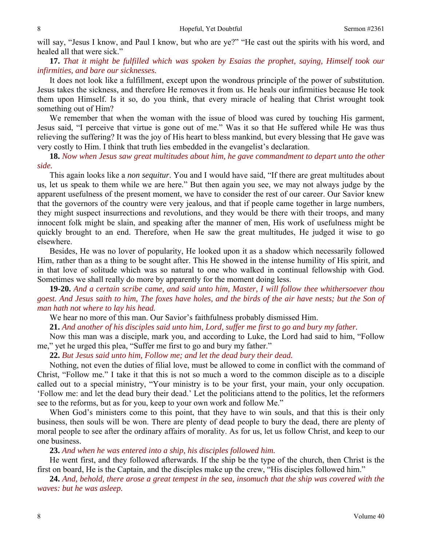will say, "Jesus I know, and Paul I know, but who are ye?" "He cast out the spirits with his word, and healed all that were sick."

**17.** *That it might be fulfilled which was spoken by Esaias the prophet, saying, Himself took our infirmities, and bare our sicknesses.* 

It does not look like a fulfillment, except upon the wondrous principle of the power of substitution. Jesus takes the sickness, and therefore He removes it from us. He heals our infirmities because He took them upon Himself. Is it so, do you think, that every miracle of healing that Christ wrought took something out of Him?

We remember that when the woman with the issue of blood was cured by touching His garment, Jesus said, "I perceive that virtue is gone out of me." Was it so that He suffered while He was thus relieving the suffering? It was the joy of His heart to bless mankind, but every blessing that He gave was very costly to Him. I think that truth lies embedded in the evangelist's declaration.

**18.** *Now when Jesus saw great multitudes about him, he gave commandment to depart unto the other side.* 

This again looks like a *non sequitur*. You and I would have said, "If there are great multitudes about us, let us speak to them while we are here." But then again you see, we may not always judge by the apparent usefulness of the present moment, we have to consider the rest of our career. Our Savior knew that the governors of the country were very jealous, and that if people came together in large numbers, they might suspect insurrections and revolutions, and they would be there with their troops, and many innocent folk might be slain, and speaking after the manner of men, His work of usefulness might be quickly brought to an end. Therefore, when He saw the great multitudes, He judged it wise to go elsewhere.

Besides, He was no lover of popularity, He looked upon it as a shadow which necessarily followed Him, rather than as a thing to be sought after. This He showed in the intense humility of His spirit, and in that love of solitude which was so natural to one who walked in continual fellowship with God. Sometimes we shall really do more by apparently for the moment doing less.

**19-20.** *And a certain scribe came, and said unto him, Master, I will follow thee whithersoever thou goest. And Jesus saith to him, The foxes have holes, and the birds of the air have nests; but the Son of man hath not where to lay his head.* 

We hear no more of this man. Our Savior's faithfulness probably dismissed Him.

**21.** *And another of his disciples said unto him, Lord, suffer me first to go and bury my father.* 

Now this man was a disciple, mark you, and according to Luke, the Lord had said to him, "Follow me," yet he urged this plea, "Suffer me first to go and bury my father."

**22.** *But Jesus said unto him, Follow me; and let the dead bury their dead.* 

Nothing, not even the duties of filial love, must be allowed to come in conflict with the command of Christ, "Follow me." I take it that this is not so much a word to the common disciple as to a disciple called out to a special ministry, "Your ministry is to be your first, your main, your only occupation. 'Follow me: and let the dead bury their dead.' Let the politicians attend to the politics, let the reformers see to the reforms, but as for you, keep to your own work and follow Me."

When God's ministers come to this point, that they have to win souls, and that this is their only business, then souls will be won. There are plenty of dead people to bury the dead, there are plenty of moral people to see after the ordinary affairs of morality. As for us, let us follow Christ, and keep to our one business.

**23.** *And when he was entered into a ship, his disciples followed him.* 

He went first, and they followed afterwards. If the ship be the type of the church, then Christ is the first on board, He is the Captain, and the disciples make up the crew, "His disciples followed him."

**24.** *And, behold, there arose a great tempest in the sea, insomuch that the ship was covered with the waves: but he was asleep.*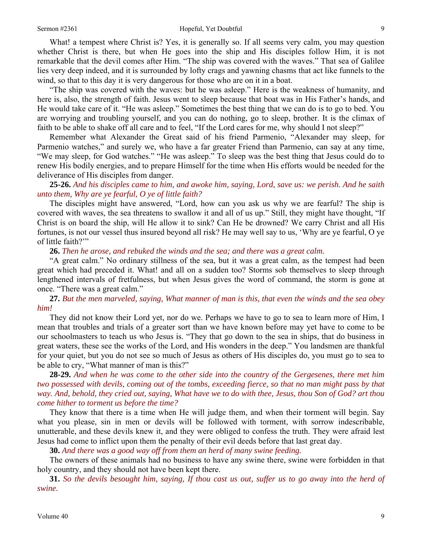#### Sermon #2361 **Hopeful, Yet Doubtful** 9

What! a tempest where Christ is? Yes, it is generally so. If all seems very calm, you may question whether Christ is there, but when He goes into the ship and His disciples follow Him, it is not remarkable that the devil comes after Him. "The ship was covered with the waves." That sea of Galilee lies very deep indeed, and it is surrounded by lofty crags and yawning chasms that act like funnels to the wind, so that to this day it is very dangerous for those who are on it in a boat.

"The ship was covered with the waves: but he was asleep." Here is the weakness of humanity, and here is, also, the strength of faith. Jesus went to sleep because that boat was in His Father's hands, and He would take care of it. "He was asleep." Sometimes the best thing that we can do is to go to bed. You are worrying and troubling yourself, and you can do nothing, go to sleep, brother. It is the climax of faith to be able to shake off all care and to feel, "If the Lord cares for me, why should I not sleep?"

Remember what Alexander the Great said of his friend Parmenio, "Alexander may sleep, for Parmenio watches," and surely we, who have a far greater Friend than Parmenio, can say at any time, "We may sleep, for God watches." "He was asleep." To sleep was the best thing that Jesus could do to renew His bodily energies, and to prepare Himself for the time when His efforts would be needed for the deliverance of His disciples from danger.

# **25-26.** *And his disciples came to him, and awoke him, saying, Lord, save us: we perish. And he saith unto them, Why are ye fearful, O ye of little faith?*

The disciples might have answered, "Lord, how can you ask us why we are fearful? The ship is covered with waves, the sea threatens to swallow it and all of us up." Still, they might have thought, "If Christ is on board the ship, will He allow it to sink? Can He be drowned? We carry Christ and all His fortunes, is not our vessel thus insured beyond all risk? He may well say to us, 'Why are ye fearful, O ye of little faith?"

## **26.** *Then he arose, and rebuked the winds and the sea; and there was a great calm.*

"A great calm." No ordinary stillness of the sea, but it was a great calm, as the tempest had been great which had preceded it. What! and all on a sudden too? Storms sob themselves to sleep through lengthened intervals of fretfulness, but when Jesus gives the word of command, the storm is gone at once. "There was a great calm."

# **27.** *But the men marveled, saying, What manner of man is this, that even the winds and the sea obey him!*

They did not know their Lord yet, nor do we. Perhaps we have to go to sea to learn more of Him, I mean that troubles and trials of a greater sort than we have known before may yet have to come to be our schoolmasters to teach us who Jesus is. "They that go down to the sea in ships, that do business in great waters, these see the works of the Lord, and His wonders in the deep." You landsmen are thankful for your quiet, but you do not see so much of Jesus as others of His disciples do, you must go to sea to be able to cry, "What manner of man is this?"

**28-29.** *And when he was come to the other side into the country of the Gergesenes, there met him two possessed with devils, coming out of the tombs, exceeding fierce, so that no man might pass by that way. And, behold, they cried out, saying, What have we to do with thee, Jesus, thou Son of God? art thou come hither to torment us before the time?* 

They know that there is a time when He will judge them, and when their torment will begin. Say what you please, sin in men or devils will be followed with torment, with sorrow indescribable, unutterable, and these devils knew it, and they were obliged to confess the truth. They were afraid lest Jesus had come to inflict upon them the penalty of their evil deeds before that last great day.

**30.** *And there was a good way off from them an herd of many swine feeding.* 

The owners of these animals had no business to have any swine there, swine were forbidden in that holy country, and they should not have been kept there.

**31.** *So the devils besought him, saying, If thou cast us out, suffer us to go away into the herd of swine.*